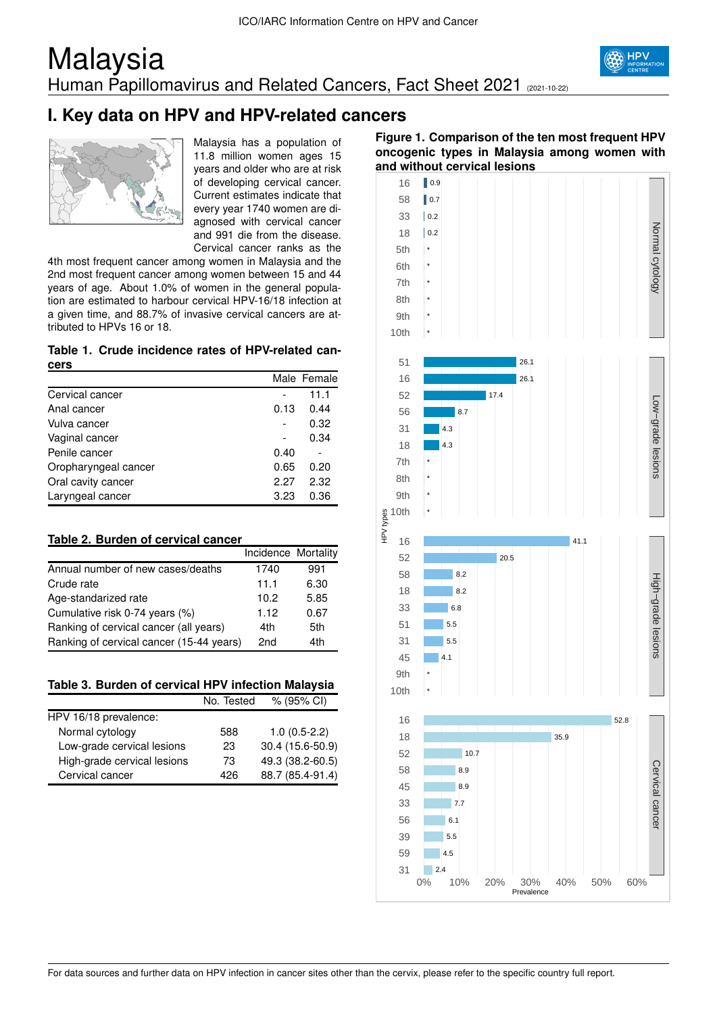## Malaysia Human Papillomavirus and Related Cancers, Fact Sheet 2021 (2021-10-22)





Malaysia has a population of 11.8 million women ages 15 years and older who are at risk of developing cervical cancer. Current estimates indicate that every year 1740 women are diagnosed with cervical cancer and 991 die from the disease. Cervical cancer ranks as the

4th most frequent cancer among women in Malaysia and the 2nd most frequent cancer among women between 15 and 44 years of age. About 1.0% of women in the general population are estimated to harbour cervical HPV-16/18 infection at a given time, and 88.7% of invasive cervical cancers are attributed to HPVs 16 or 18.

### **Table 1. Crude incidence rates of HPV-related cancers**

|                      |      | Male Female |
|----------------------|------|-------------|
| Cervical cancer      |      | 11.1        |
| Anal cancer          | 0.13 | 0.44        |
| Vulva cancer         |      | 0.32        |
| Vaginal cancer       |      | 0.34        |
| Penile cancer        | 0.40 |             |
| Oropharyngeal cancer | 0.65 | 0.20        |
| Oral cavity cancer   | 2.27 | 2.32        |
| Laryngeal cancer     | 3.23 | 0.36        |

### **Table 2. Burden of cervical cancer**

|                                          | Incidence Mortality |      |
|------------------------------------------|---------------------|------|
| Annual number of new cases/deaths        | 1740                | 991  |
| Crude rate                               | 11.1                | 6.30 |
| Age-standarized rate                     | 10.2                | 5.85 |
| Cumulative risk 0-74 years (%)           | 1.12                | 0.67 |
| Ranking of cervical cancer (all years)   | 4th                 | 5th  |
| Ranking of cervical cancer (15-44 years) | 2nd                 | 4th  |

### **Table 3. Burden of cervical HPV infection Malaysia**

|                             | No. Tested | % (95% CI)       |
|-----------------------------|------------|------------------|
| HPV 16/18 prevalence:       |            |                  |
| Normal cytology             | 588        | $1.0(0.5-2.2)$   |
| Low-grade cervical lesions  | 23         | 30.4 (15.6-50.9) |
| High-grade cervical lesions | 73         | 49.3 (38.2-60.5) |
| Cervical cancer             | 426        | 88.7 (85.4-91.4) |

### **Figure 1. Comparison of the ten most frequent HPV oncogenic types in Malaysia among women with and without cervical lesions**